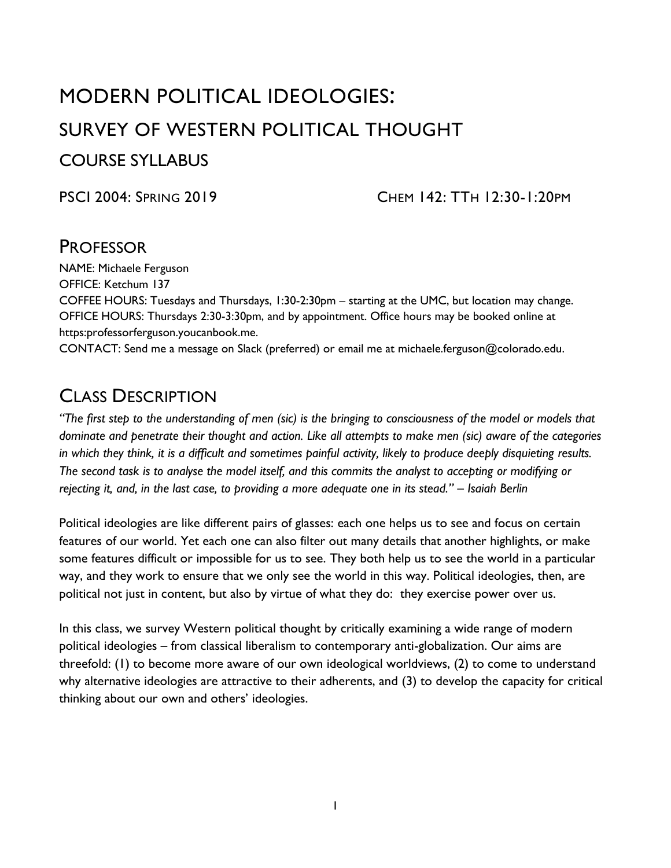# MODERN POLITICAL IDEOLOGIES: SURVEY OF WESTERN POLITICAL THOUGHT COURSE SYLLABUS

PSCI 2004: SPRING 2019 CHEM 142: TTH 12:30-1:20PM

### **PROFESSOR**

NAME: Michaele Ferguson OFFICE: Ketchum 137

COFFEE HOURS: Tuesdays and Thursdays, 1:30-2:30pm – starting at the UMC, but location may change. OFFICE HOURS: Thursdays 2:30-3:30pm, and by appointment. Office hours may be booked online at https:professorferguson.youcanbook.me.

CONTACT: Send me a message on Slack (preferred) or email me at michaele.ferguson@colorado.edu.

## CLASS DESCRIPTION

*"The first step to the understanding of men (sic) is the bringing to consciousness of the model or models that dominate and penetrate their thought and action. Like all attempts to make men (sic) aware of the categories in which they think, it is a difficult and sometimes painful activity, likely to produce deeply disquieting results. The second task is to analyse the model itself, and this commits the analyst to accepting or modifying or rejecting it, and, in the last case, to providing a more adequate one in its stead." – Isaiah Berlin*

Political ideologies are like different pairs of glasses: each one helps us to see and focus on certain features of our world. Yet each one can also filter out many details that another highlights, or make some features difficult or impossible for us to see. They both help us to see the world in a particular way, and they work to ensure that we only see the world in this way. Political ideologies, then, are political not just in content, but also by virtue of what they do: they exercise power over us.

In this class, we survey Western political thought by critically examining a wide range of modern political ideologies – from classical liberalism to contemporary anti-globalization. Our aims are threefold: (1) to become more aware of our own ideological worldviews, (2) to come to understand why alternative ideologies are attractive to their adherents, and (3) to develop the capacity for critical thinking about our own and others' ideologies.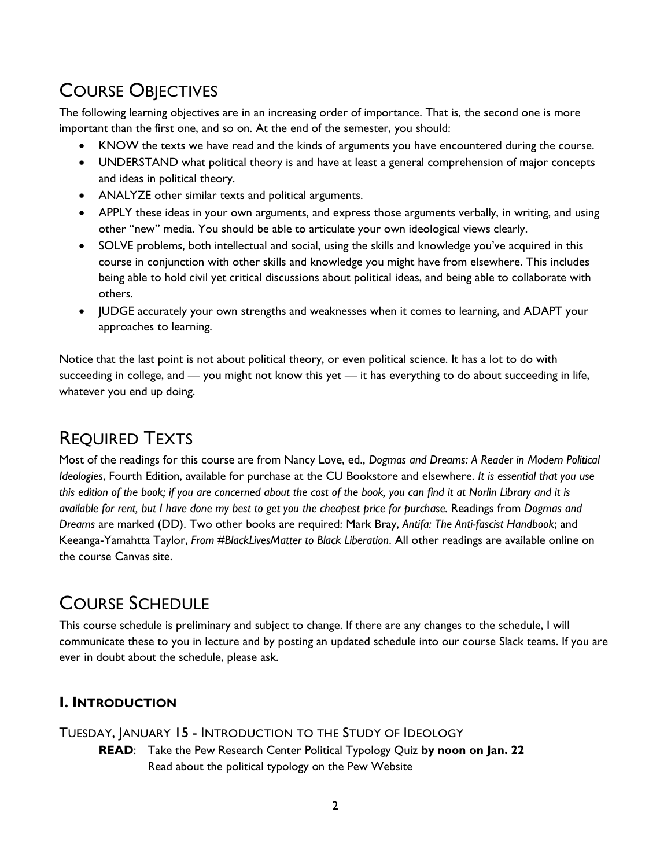# COURSE OBJECTIVES

The following learning objectives are in an increasing order of importance. That is, the second one is more important than the first one, and so on. At the end of the semester, you should:

- KNOW the texts we have read and the kinds of arguments you have encountered during the course.
- UNDERSTAND what political theory is and have at least a general comprehension of major concepts and ideas in political theory.
- ANALYZE other similar texts and political arguments.
- APPLY these ideas in your own arguments, and express those arguments verbally, in writing, and using other "new" media. You should be able to articulate your own ideological views clearly.
- SOLVE problems, both intellectual and social, using the skills and knowledge you've acquired in this course in conjunction with other skills and knowledge you might have from elsewhere. This includes being able to hold civil yet critical discussions about political ideas, and being able to collaborate with others.
- JUDGE accurately your own strengths and weaknesses when it comes to learning, and ADAPT your approaches to learning.

Notice that the last point is not about political theory, or even political science. It has a lot to do with succeeding in college, and — you might not know this yet — it has everything to do about succeeding in life, whatever you end up doing.

## REQUIRED TEXTS

Most of the readings for this course are from Nancy Love, ed., *Dogmas and Dreams: A Reader in Modern Political Ideologies*, Fourth Edition, available for purchase at the CU Bookstore and elsewhere. *It is essential that you use this edition of the book; if you are concerned about the cost of the book, you can find it at Norlin Library and it is available for rent, but I have done my best to get you the cheapest price for purchase.* Readings from *Dogmas and Dreams* are marked (DD). Two other books are required: Mark Bray, *Antifa: The Anti-fascist Handbook*; and Keeanga-Yamahtta Taylor, *From #BlackLivesMatter to Black Liberation*. All other readings are available online on the course Canvas site.

## COURSE SCHEDULE

This course schedule is preliminary and subject to change. If there are any changes to the schedule, I will communicate these to you in lecture and by posting an updated schedule into our course Slack teams. If you are ever in doubt about the schedule, please ask.

### **I. INTRODUCTION**

TUESDAY, JANUARY 15 - INTRODUCTION TO THE STUDY OF IDEOLOGY

**READ**: Take the Pew Research Center Political Typology Quiz **by noon on Jan. 22** Read about the political typology on the Pew Website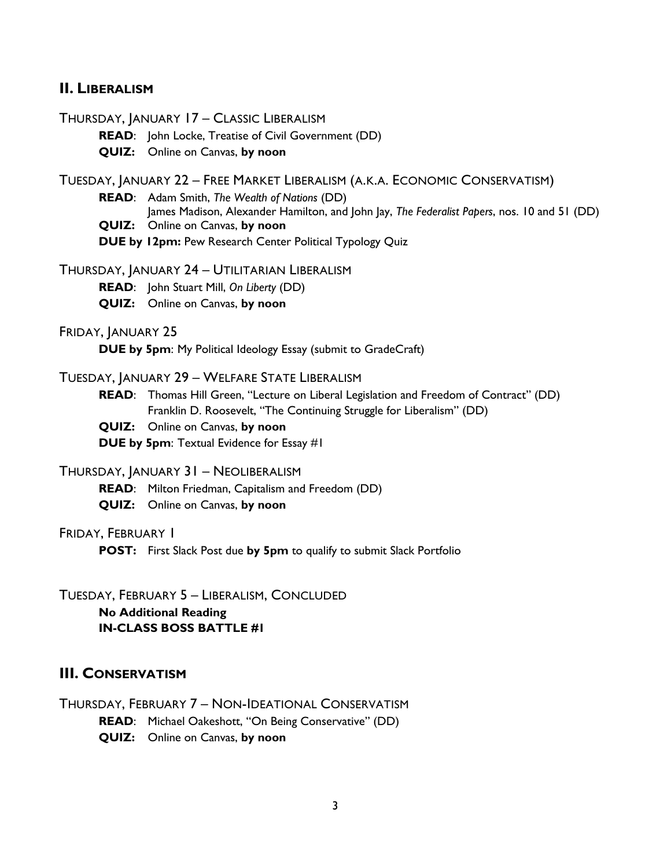#### **II. LIBERALISM**

THURSDAY, JANUARY 17 – CLASSIC LIBERALISM

**READ**: John Locke, Treatise of Civil Government (DD)

**QUIZ:** Online on Canvas, **by noon**

TUESDAY, JANUARY 22 – FREE MARKET LIBERALISM (A.K.A. ECONOMIC CONSERVATISM)

**READ**: Adam Smith, *The Wealth of Nations* (DD)

James Madison, Alexander Hamilton, and John Jay, *The Federalist Papers*, nos. 10 and 51 (DD)

**QUIZ:** Online on Canvas, **by noon**

**DUE by 12pm:** Pew Research Center Political Typology Quiz

THURSDAY, JANUARY 24 – UTILITARIAN LIBERALISM

**READ**: John Stuart Mill, *On Liberty* (DD)

**QUIZ:** Online on Canvas, **by noon**

FRIDAY, JANUARY 25

**DUE by 5pm**: My Political Ideology Essay (submit to GradeCraft)

#### TUESDAY, JANUARY 29 – WELFARE STATE LIBERALISM

**READ**: Thomas Hill Green, "Lecture on Liberal Legislation and Freedom of Contract" (DD) Franklin D. Roosevelt, "The Continuing Struggle for Liberalism" (DD)

**QUIZ:** Online on Canvas, **by noon**

**DUE by 5pm**: Textual Evidence for Essay #1

THURSDAY, JANUARY 31 – NEOLIBERALISM

**READ**: Milton Friedman, Capitalism and Freedom (DD)

**QUIZ:** Online on Canvas, **by noon**

FRIDAY, FEBRUARY 1

**POST:** First Slack Post due **by 5pm** to qualify to submit Slack Portfolio

TUESDAY, FEBRUARY 5 – LIBERALISM, CONCLUDED **No Additional Reading IN-CLASS BOSS BATTLE #1**

#### **III. CONSERVATISM**

THURSDAY, FEBRUARY 7 – NON-IDEATIONAL CONSERVATISM **READ**: Michael Oakeshott, "On Being Conservative" (DD) **QUIZ:** Online on Canvas, **by noon**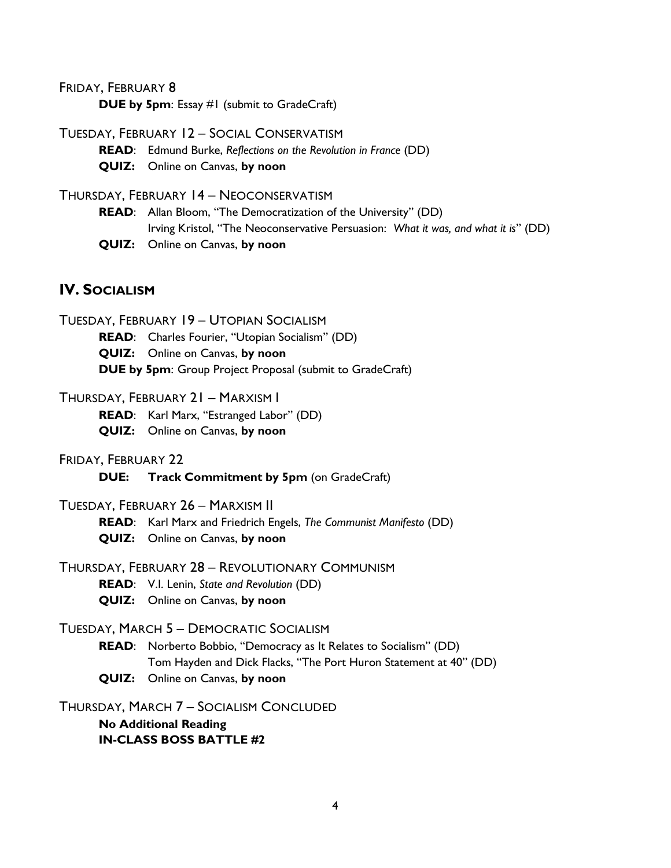FRIDAY, FEBRUARY 8

**DUE by 5pm**: Essay #1 (submit to GradeCraft)

TUESDAY, FEBRUARY 12 – SOCIAL CONSERVATISM

**READ**: Edmund Burke, *Reflections on the Revolution in France* (DD)

**QUIZ:** Online on Canvas, **by noon**

THURSDAY, FEBRUARY 14 – NEOCONSERVATISM

**READ**: Allan Bloom, "The Democratization of the University" (DD) Irving Kristol, "The Neoconservative Persuasion: *What it was, and what it is*" (DD) **QUIZ:** Online on Canvas, **by noon**

#### **IV.** SOCIALISM

TUESDAY, FEBRUARY 19 – UTOPIAN SOCIALISM **READ**: Charles Fourier, "Utopian Socialism" (DD) **QUIZ:** Online on Canvas, **by noon DUE by 5pm**: Group Project Proposal (submit to GradeCraft)

#### THURSDAY, FEBRUARY 21 – MARXISM I

**READ**: Karl Marx, "Estranged Labor" (DD)

**QUIZ:** Online on Canvas, **by noon**

#### FRIDAY, FEBRUARY 22

**DUE: Track Commitment by 5pm** (on GradeCraft)

#### TUESDAY, FEBRUARY 26 – MARXISM II

**READ**: Karl Marx and Friedrich Engels, *The Communist Manifesto* (DD) **QUIZ:** Online on Canvas, **by noon**

THURSDAY, FEBRUARY 28 – REVOLUTIONARY COMMUNISM

**READ**: V.I. Lenin, *State and Revolution* (DD)

**QUIZ:** Online on Canvas, **by noon**

#### TUESDAY, MARCH 5 – DEMOCRATIC SOCIALISM

**READ**: Norberto Bobbio, "Democracy as It Relates to Socialism" (DD) Tom Hayden and Dick Flacks, "The Port Huron Statement at 40" (DD) **QUIZ:** Online on Canvas, **by noon**

THURSDAY, MARCH 7 – SOCIALISM CONCLUDED

**No Additional Reading IN-CLASS BOSS BATTLE #2**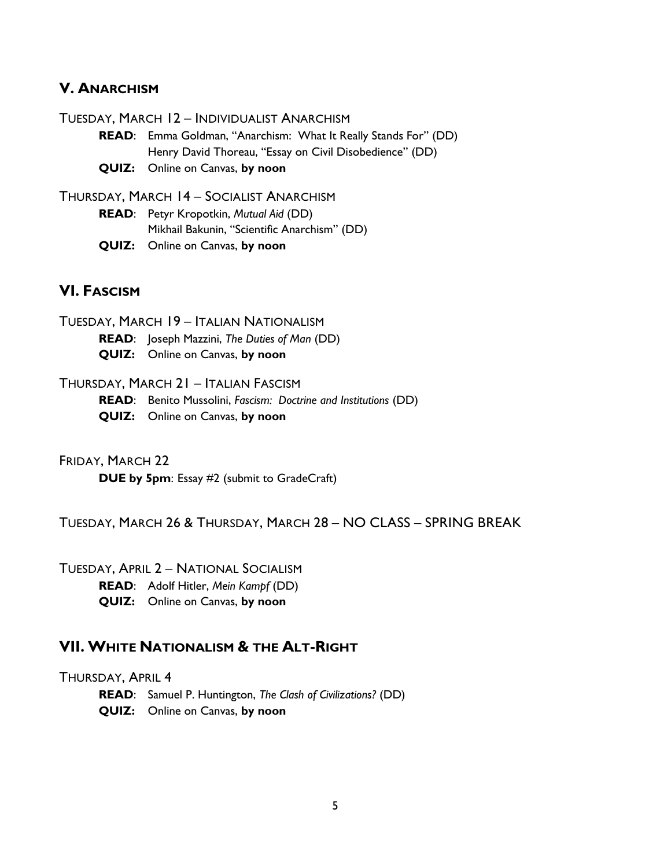#### **V. ANARCHISM**

TUESDAY, MARCH 12 – INDIVIDUALIST ANARCHISM

- **READ**: Emma Goldman, "Anarchism: What It Really Stands For" (DD) Henry David Thoreau, "Essay on Civil Disobedience" (DD)
- **QUIZ:** Online on Canvas, **by noon**

THURSDAY, MARCH 14 – SOCIALIST ANARCHISM

**READ**: Petyr Kropotkin, *Mutual Aid* (DD) Mikhail Bakunin, "Scientific Anarchism" (DD) **QUIZ:** Online on Canvas, **by noon**

#### **VI. FASCISM**

TUESDAY, MARCH 19 – ITALIAN NATIONALISM

**READ**: Joseph Mazzini, *The Duties of Man* (DD)

- **QUIZ:** Online on Canvas, **by noon**
- THURSDAY, MARCH 21 ITALIAN FASCISM

**READ**: Benito Mussolini, *Fascism: Doctrine and Institutions* (DD)

- **QUIZ:** Online on Canvas, **by noon**
- FRIDAY, MARCH 22

**DUE by 5pm**: Essay #2 (submit to GradeCraft)

TUESDAY, MARCH 26 & THURSDAY, MARCH 28 – NO CLASS – SPRING BREAK

TUESDAY, APRIL 2 – NATIONAL SOCIALISM

- **READ**: Adolf Hitler, *Mein Kampf* (DD)
- **QUIZ:** Online on Canvas, **by noon**

#### **VII. WHITE NATIONALISM & THE ALT-RIGHT**

THURSDAY, APRIL 4

**READ**: Samuel P. Huntington, *The Clash of Civilizations?* (DD)

**QUIZ:** Online on Canvas, **by noon**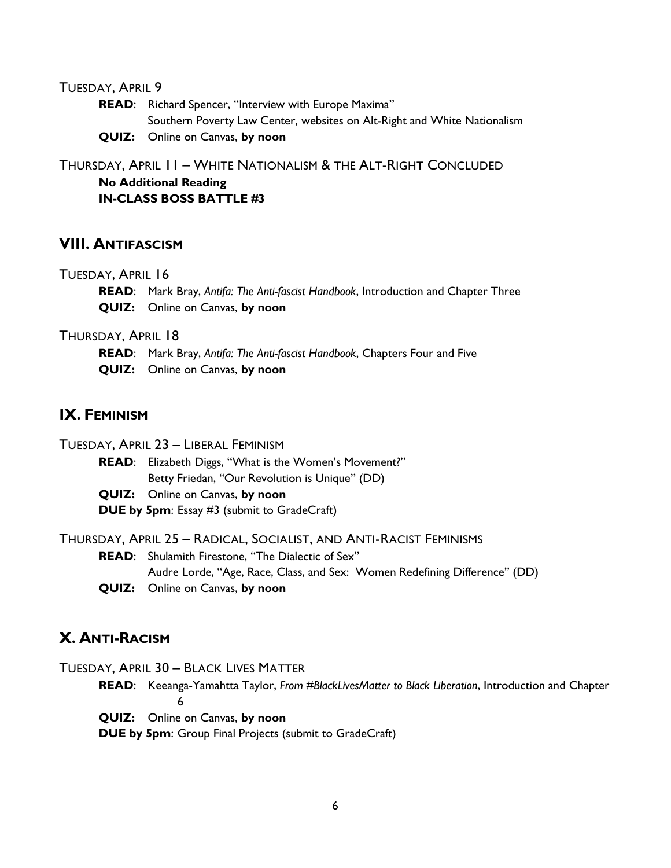#### TUESDAY, APRIL 9

**READ**: Richard Spencer, "Interview with Europe Maxima" Southern Poverty Law Center, websites on Alt-Right and White Nationalism **QUIZ:** Online on Canvas, **by noon**

THURSDAY, APRIL 11 – WHITE NATIONALISM & THE ALT-RIGHT CONCLUDED **No Additional Reading**

**IN-CLASS BOSS BATTLE #3**

#### **VIII. ANTIFASCISM**

#### TUESDAY, APRIL 16

**READ**: Mark Bray, *Antifa: The Anti-fascist Handbook*, Introduction and Chapter Three **QUIZ:** Online on Canvas, **by noon**

THURSDAY, APRIL 18

**READ**: Mark Bray, *Antifa: The Anti-fascist Handbook*, Chapters Four and Five **QUIZ:** Online on Canvas, **by noon**

### **IX. FEMINISM**

TUESDAY, APRIL 23 – LIBERAL FEMINISM

**READ**: Elizabeth Diggs, "What is the Women's Movement?" Betty Friedan, "Our Revolution is Unique" (DD)

**QUIZ:** Online on Canvas, **by noon DUE by 5pm**: Essay #3 (submit to GradeCraft)

THURSDAY, APRIL 25 – RADICAL, SOCIALIST, AND ANTI-RACIST FEMINISMS

**READ**: Shulamith Firestone, "The Dialectic of Sex" Audre Lorde, "Age, Race, Class, and Sex: Women Redefining Difference" (DD)

**QUIZ:** Online on Canvas, **by noon**

#### **X. ANTI-RACISM**

TUESDAY, APRIL 30 – BLACK LIVES MATTER

**READ**: Keeanga-Yamahtta Taylor, *From #BlackLivesMatter to Black Liberation*, Introduction and Chapter 6

**QUIZ:** Online on Canvas, **by noon**

**DUE by 5pm**: Group Final Projects (submit to GradeCraft)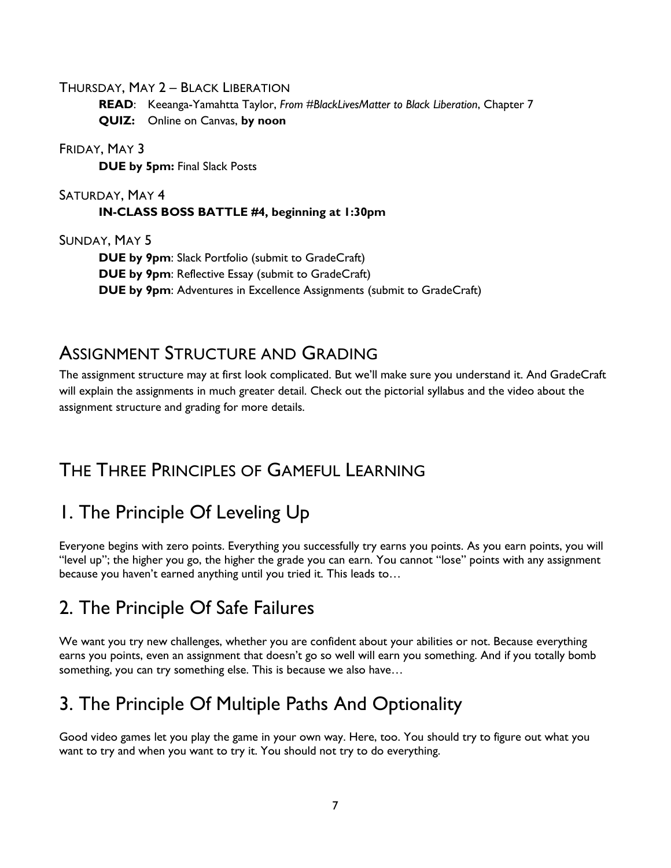THURSDAY, MAY 2 – BLACK LIBERATION

**READ**: Keeanga-Yamahtta Taylor, *From #BlackLivesMatter to Black Liberation*, Chapter 7 **QUIZ:** Online on Canvas, **by noon**

FRIDAY, MAY 3

**DUE by 5pm:** Final Slack Posts

#### SATURDAY, MAY 4 **IN-CLASS BOSS BATTLE #4, beginning at 1:30pm**

SUNDAY, MAY 5

**DUE by 9pm**: Slack Portfolio (submit to GradeCraft) **DUE by 9pm**: Reflective Essay (submit to GradeCraft) **DUE by 9pm**: Adventures in Excellence Assignments (submit to GradeCraft)

## ASSIGNMENT STRUCTURE AND GRADING

The assignment structure may at first look complicated. But we'll make sure you understand it. And GradeCraft will explain the assignments in much greater detail. Check out the pictorial syllabus and the video about the assignment structure and grading for more details.

## THE THREE PRINCIPLES OF GAMEFUL LEARNING

# 1. The Principle Of Leveling Up

Everyone begins with zero points. Everything you successfully try earns you points. As you earn points, you will "level up"; the higher you go, the higher the grade you can earn. You cannot "lose" points with any assignment because you haven't earned anything until you tried it. This leads to…

## 2. The Principle Of Safe Failures

We want you try new challenges, whether you are confident about your abilities or not. Because everything earns you points, even an assignment that doesn't go so well will earn you something. And if you totally bomb something, you can try something else. This is because we also have…

## 3. The Principle Of Multiple Paths And Optionality

Good video games let you play the game in your own way. Here, too. You should try to figure out what you want to try and when you want to try it. You should not try to do everything.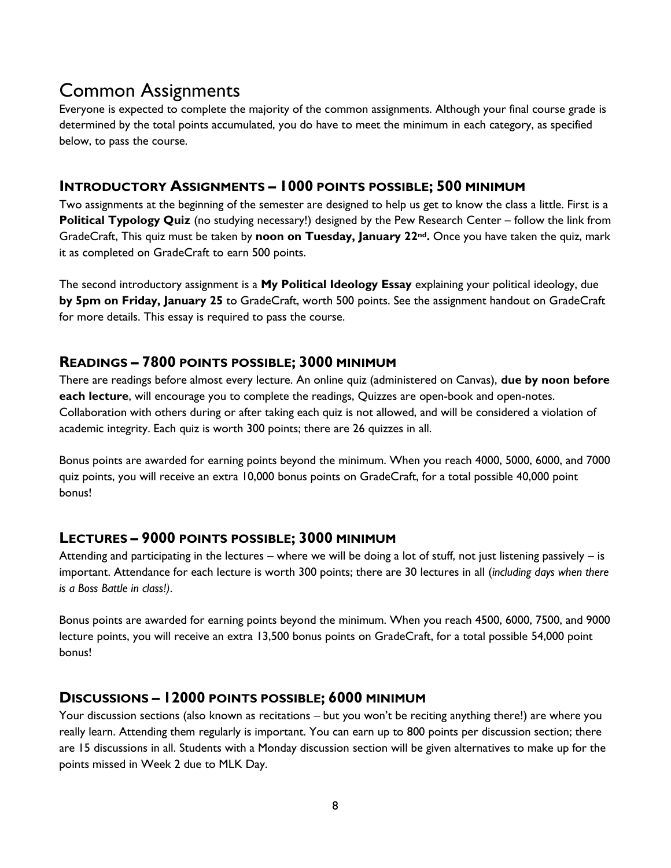## Common Assignments

Everyone is expected to complete the majority of the common assignments. Although your final course grade is determined by the total points accumulated, you do have to meet the minimum in each category, as specified below, to pass the course.

### **INTRODUCTORY ASSIGNMENTS – 1000 POINTS POSSIBLE; 500 MINIMUM**

Two assignments at the beginning of the semester are designed to help us get to know the class a little. First is a **Political Typology Quiz** (no studying necessary!) designed by the Pew Research Center – follow the link from GradeCraft, This quiz must be taken by **noon on Tuesday, January 22nd.** Once you have taken the quiz, mark it as completed on GradeCraft to earn 500 points.

The second introductory assignment is a **My Political Ideology Essay** explaining your political ideology, due **by 5pm on Friday, January 25** to GradeCraft, worth 500 points. See the assignment handout on GradeCraft for more details. This essay is required to pass the course.

### **READINGS – 7800 POINTS POSSIBLE; 3000 MINIMUM**

There are readings before almost every lecture. An online quiz (administered on Canvas), **due by noon before each lecture**, will encourage you to complete the readings, Quizzes are open-book and open-notes. Collaboration with others during or after taking each quiz is not allowed, and will be considered a violation of academic integrity. Each quiz is worth 300 points; there are 26 quizzes in all.

Bonus points are awarded for earning points beyond the minimum. When you reach 4000, 5000, 6000, and 7000 quiz points, you will receive an extra 10,000 bonus points on GradeCraft, for a total possible 40,000 point bonus!

### **LECTURES – 9000 POINTS POSSIBLE; 3000 MINIMUM**

Attending and participating in the lectures – where we will be doing a lot of stuff, not just listening passively – is important. Attendance for each lecture is worth 300 points; there are 30 lectures in all (*including days when there is a Boss Battle in class!)*.

Bonus points are awarded for earning points beyond the minimum. When you reach 4500, 6000, 7500, and 9000 lecture points, you will receive an extra 13,500 bonus points on GradeCraft, for a total possible 54,000 point bonus!

### **DISCUSSIONS – 12000 POINTS POSSIBLE; 6000 MINIMUM**

Your discussion sections (also known as recitations – but you won't be reciting anything there!) are where you really learn. Attending them regularly is important. You can earn up to 800 points per discussion section; there are 15 discussions in all. Students with a Monday discussion section will be given alternatives to make up for the points missed in Week 2 due to MLK Day.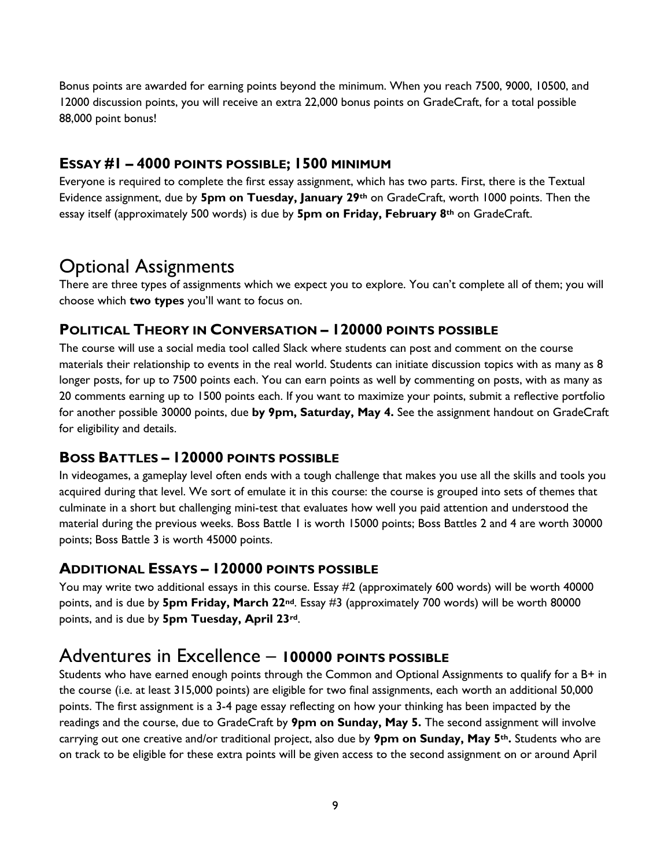Bonus points are awarded for earning points beyond the minimum. When you reach 7500, 9000, 10500, and 12000 discussion points, you will receive an extra 22,000 bonus points on GradeCraft, for a total possible 88,000 point bonus!

### **ESSAY #1 – 4000 POINTS POSSIBLE; 1500 MINIMUM**

Everyone is required to complete the first essay assignment, which has two parts. First, there is the Textual Evidence assignment, due by **5pm on Tuesday, January 29th** on GradeCraft, worth 1000 points. Then the essay itself (approximately 500 words) is due by **5pm on Friday, February 8th** on GradeCraft.

### Optional Assignments

There are three types of assignments which we expect you to explore. You can't complete all of them; you will choose which **two types** you'll want to focus on.

### **POLITICAL THEORY IN CONVERSATION – 120000 POINTS POSSIBLE**

The course will use a social media tool called Slack where students can post and comment on the course materials their relationship to events in the real world. Students can initiate discussion topics with as many as 8 longer posts, for up to 7500 points each. You can earn points as well by commenting on posts, with as many as 20 comments earning up to 1500 points each. If you want to maximize your points, submit a reflective portfolio for another possible 30000 points, due **by 9pm, Saturday, May 4.** See the assignment handout on GradeCraft for eligibility and details.

### **BOSS BATTLES – 120000 POINTS POSSIBLE**

In videogames, a gameplay level often ends with a tough challenge that makes you use all the skills and tools you acquired during that level. We sort of emulate it in this course: the course is grouped into sets of themes that culminate in a short but challenging mini-test that evaluates how well you paid attention and understood the material during the previous weeks. Boss Battle 1 is worth 15000 points; Boss Battles 2 and 4 are worth 30000 points; Boss Battle 3 is worth 45000 points.

### **ADDITIONAL ESSAYS – 120000 POINTS POSSIBLE**

You may write two additional essays in this course. Essay #2 (approximately 600 words) will be worth 40000 points, and is due by **5pm Friday, March 22nd**. Essay #3 (approximately 700 words) will be worth 80000 points, and is due by **5pm Tuesday, April 23rd**.

### Adventures in Excellence – **100000 POINTS POSSIBLE**

Students who have earned enough points through the Common and Optional Assignments to qualify for a B+ in the course (i.e. at least 315,000 points) are eligible for two final assignments, each worth an additional 50,000 points. The first assignment is a 3-4 page essay reflecting on how your thinking has been impacted by the readings and the course, due to GradeCraft by **9pm on Sunday, May 5.** The second assignment will involve carrying out one creative and/or traditional project, also due by **9pm on Sunday, May 5th.** Students who are on track to be eligible for these extra points will be given access to the second assignment on or around April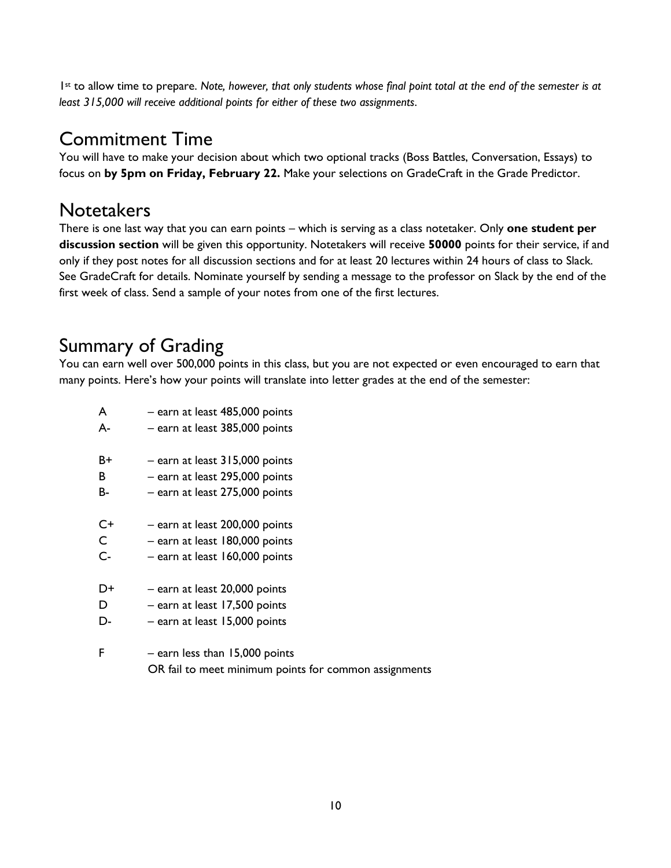1st to allow time to prepare. *Note, however, that only students whose final point total at the end of the semester is at least 315,000 will receive additional points for either of these two assignments*.

## Commitment Time

You will have to make your decision about which two optional tracks (Boss Battles, Conversation, Essays) to focus on **by 5pm on Friday, February 22.** Make your selections on GradeCraft in the Grade Predictor.

## **Notetakers**

There is one last way that you can earn points – which is serving as a class notetaker. Only **one student per discussion section** will be given this opportunity. Notetakers will receive **50000** points for their service, if and only if they post notes for all discussion sections and for at least 20 lectures within 24 hours of class to Slack. See GradeCraft for details. Nominate yourself by sending a message to the professor on Slack by the end of the first week of class. Send a sample of your notes from one of the first lectures.

## Summary of Grading

You can earn well over 500,000 points in this class, but you are not expected or even encouraged to earn that many points. Here's how your points will translate into letter grades at the end of the semester:

10

| A           | - earn at least 485,000 points                        |
|-------------|-------------------------------------------------------|
| А-          | - earn at least 385,000 points                        |
| B+          | $-$ earn at least 315,000 points                      |
| В           | - earn at least 295,000 points                        |
| В-          | - earn at least 275,000 points                        |
| C+          | - earn at least 200,000 points                        |
| $\mathsf C$ | - earn at least 180,000 points                        |
| $C -$       | - earn at least 160,000 points                        |
| D+          | - earn at least 20,000 points                         |
| D           | - earn at least 17,500 points                         |
| D-          | - earn at least 15,000 points                         |
| F           | $-$ earn less than 15,000 points                      |
|             | OR fail to meet minimum points for common assignments |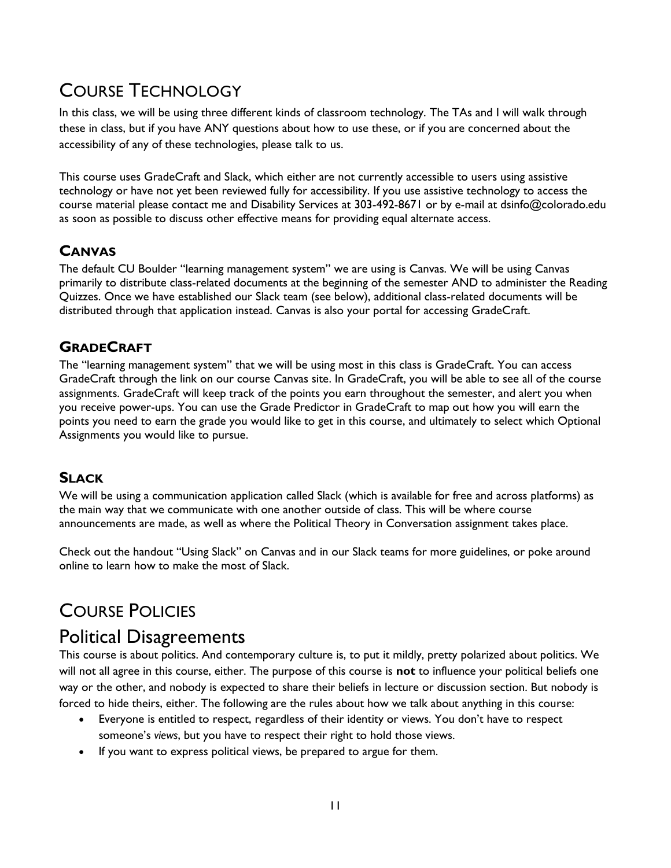## COURSE TECHNOLOGY

In this class, we will be using three different kinds of classroom technology. The TAs and I will walk through these in class, but if you have ANY questions about how to use these, or if you are concerned about the accessibility of any of these technologies, please talk to us.

This course uses GradeCraft and Slack, which either are not currently accessible to users using assistive technology or have not yet been reviewed fully for accessibility. If you use assistive technology to access the course material please contact me and Disability Services at 303-492-8671 or by e-mail at dsinfo@colorado.edu as soon as possible to discuss other effective means for providing equal alternate access.

### **CANVAS**

The default CU Boulder "learning management system" we are using is Canvas. We will be using Canvas primarily to distribute class-related documents at the beginning of the semester AND to administer the Reading Quizzes. Once we have established our Slack team (see below), additional class-related documents will be distributed through that application instead. Canvas is also your portal for accessing GradeCraft.

### **GRADECRAFT**

The "learning management system" that we will be using most in this class is GradeCraft. You can access GradeCraft through the link on our course Canvas site. In GradeCraft, you will be able to see all of the course assignments. GradeCraft will keep track of the points you earn throughout the semester, and alert you when you receive power-ups. You can use the Grade Predictor in GradeCraft to map out how you will earn the points you need to earn the grade you would like to get in this course, and ultimately to select which Optional Assignments you would like to pursue.

### **SLACK**

We will be using a communication application called Slack (which is available for free and across platforms) as the main way that we communicate with one another outside of class. This will be where course announcements are made, as well as where the Political Theory in Conversation assignment takes place.

Check out the handout "Using Slack" on Canvas and in our Slack teams for more guidelines, or poke around online to learn how to make the most of Slack.

## COURSE POLICIES

### Political Disagreements

This course is about politics. And contemporary culture is, to put it mildly, pretty polarized about politics. We will not all agree in this course, either. The purpose of this course is **not** to influence your political beliefs one way or the other, and nobody is expected to share their beliefs in lecture or discussion section. But nobody is forced to hide theirs, either. The following are the rules about how we talk about anything in this course:

- Everyone is entitled to respect, regardless of their identity or views. You don't have to respect someone's *views*, but you have to respect their right to hold those views.
- If you want to express political views, be prepared to argue for them.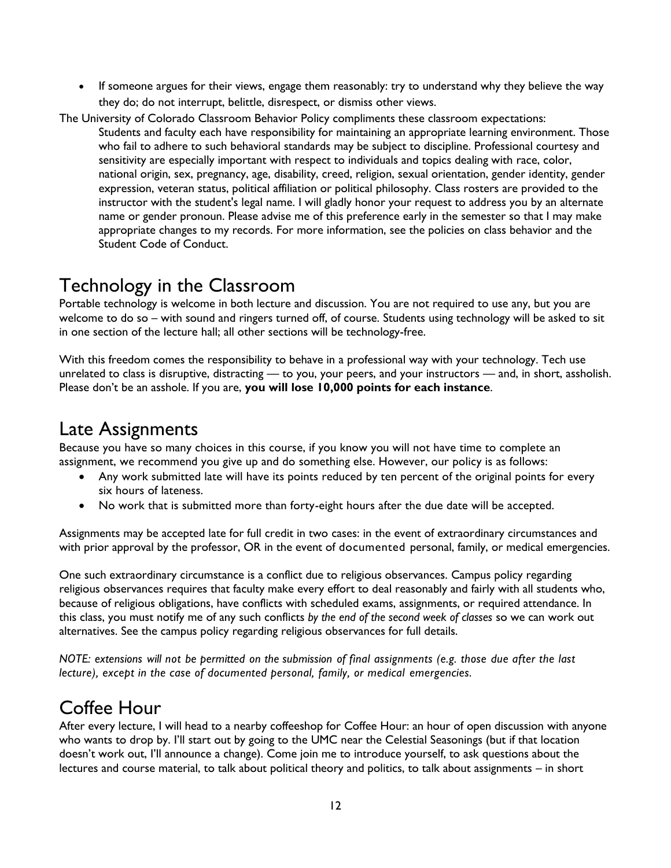• If someone argues for their views, engage them reasonably: try to understand why they believe the way they do; do not interrupt, belittle, disrespect, or dismiss other views.

The University of Colorado Classroom Behavior Policy compliments these classroom expectations:

Students and faculty each have responsibility for maintaining an appropriate learning environment. Those who fail to adhere to such behavioral standards may be subject to discipline. Professional courtesy and sensitivity are especially important with respect to individuals and topics dealing with race, color, national origin, sex, pregnancy, age, disability, creed, religion, sexual orientation, gender identity, gender expression, veteran status, political affiliation or political philosophy. Class rosters are provided to the instructor with the student's legal name. I will gladly honor your request to address you by an alternate name or gender pronoun. Please advise me of this preference early in the semester so that I may make appropriate changes to my records. For more information, see the policies on class behavior and the Student Code of Conduct.

### Technology in the Classroom

Portable technology is welcome in both lecture and discussion. You are not required to use any, but you are welcome to do so – with sound and ringers turned off, of course. Students using technology will be asked to sit in one section of the lecture hall; all other sections will be technology-free.

With this freedom comes the responsibility to behave in a professional way with your technology. Tech use unrelated to class is disruptive, distracting — to you, your peers, and your instructors — and, in short, assholish. Please don't be an asshole. If you are, **you will lose 10,000 points for each instance**.

### Late Assignments

Because you have so many choices in this course, if you know you will not have time to complete an assignment, we recommend you give up and do something else. However, our policy is as follows:

- Any work submitted late will have its points reduced by ten percent of the original points for every six hours of lateness.
- No work that is submitted more than forty-eight hours after the due date will be accepted.

Assignments may be accepted late for full credit in two cases: in the event of extraordinary circumstances and with prior approval by the professor, OR in the event of documented personal, family, or medical emergencies.

One such extraordinary circumstance is a conflict due to religious observances. Campus policy regarding religious observances requires that faculty make every effort to deal reasonably and fairly with all students who, because of religious obligations, have conflicts with scheduled exams, assignments, or required attendance. In this class, you must notify me of any such conflicts *by the end of the second week of classes* so we can work out alternatives. See the campus policy regarding religious observances for full details.

*NOTE: extensions will not be permitted on the submission of final assignments (e.g. those due after the last lecture), except in the case of documented personal, family, or medical emergencies.*

### Coffee Hour

After every lecture, I will head to a nearby coffeeshop for Coffee Hour: an hour of open discussion with anyone who wants to drop by. I'll start out by going to the UMC near the Celestial Seasonings (but if that location doesn't work out, I'll announce a change). Come join me to introduce yourself, to ask questions about the lectures and course material, to talk about political theory and politics, to talk about assignments – in short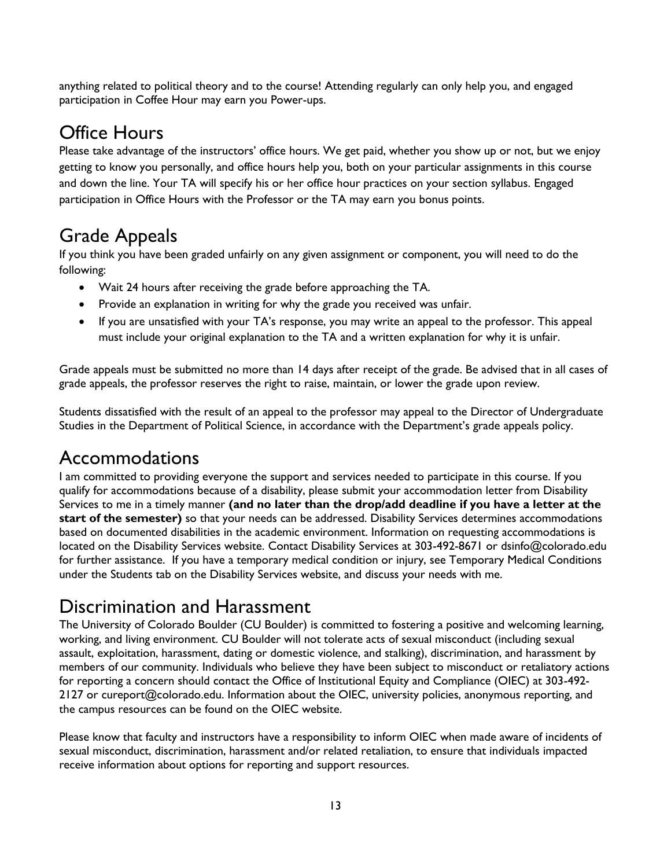anything related to political theory and to the course! Attending regularly can only help you, and engaged participation in Coffee Hour may earn you Power-ups.

# Office Hours

Please take advantage of the instructors' office hours. We get paid, whether you show up or not, but we enjoy getting to know you personally, and office hours help you, both on your particular assignments in this course and down the line. Your TA will specify his or her office hour practices on your section syllabus. Engaged participation in Office Hours with the Professor or the TA may earn you bonus points.

# Grade Appeals

If you think you have been graded unfairly on any given assignment or component, you will need to do the following:

- Wait 24 hours after receiving the grade before approaching the TA.
- Provide an explanation in writing for why the grade you received was unfair.
- If you are unsatisfied with your TA's response, you may write an appeal to the professor. This appeal must include your original explanation to the TA and a written explanation for why it is unfair.

Grade appeals must be submitted no more than 14 days after receipt of the grade. Be advised that in all cases of grade appeals, the professor reserves the right to raise, maintain, or lower the grade upon review.

Students dissatisfied with the result of an appeal to the professor may appeal to the Director of Undergraduate Studies in the Department of Political Science, in accordance with the Department's grade appeals policy.

## Accommodations

I am committed to providing everyone the support and services needed to participate in this course. If you qualify for accommodations because of a disability, please submit your accommodation letter from Disability Services to me in a timely manner **(and no later than the drop/add deadline if you have a letter at the start of the semester)** so that your needs can be addressed. Disability Services determines accommodations based on documented disabilities in the academic environment. Information on requesting accommodations is located on the Disability Services website. Contact Disability Services at 303-492-8671 or dsinfo@colorado.edu for further assistance. If you have a temporary medical condition or injury, see Temporary Medical Conditions under the Students tab on the Disability Services website, and discuss your needs with me.

## Discrimination and Harassment

The University of Colorado Boulder (CU Boulder) is committed to fostering a positive and welcoming learning, working, and living environment. CU Boulder will not tolerate acts of sexual misconduct (including sexual assault, exploitation, harassment, dating or domestic violence, and stalking), discrimination, and harassment by members of our community. Individuals who believe they have been subject to misconduct or retaliatory actions for reporting a concern should contact the Office of Institutional Equity and Compliance (OIEC) at 303-492- 2127 or cureport@colorado.edu. Information about the OIEC, university policies, anonymous reporting, and the campus resources can be found on the OIEC website.

Please know that faculty and instructors have a responsibility to inform OIEC when made aware of incidents of sexual misconduct, discrimination, harassment and/or related retaliation, to ensure that individuals impacted receive information about options for reporting and support resources.